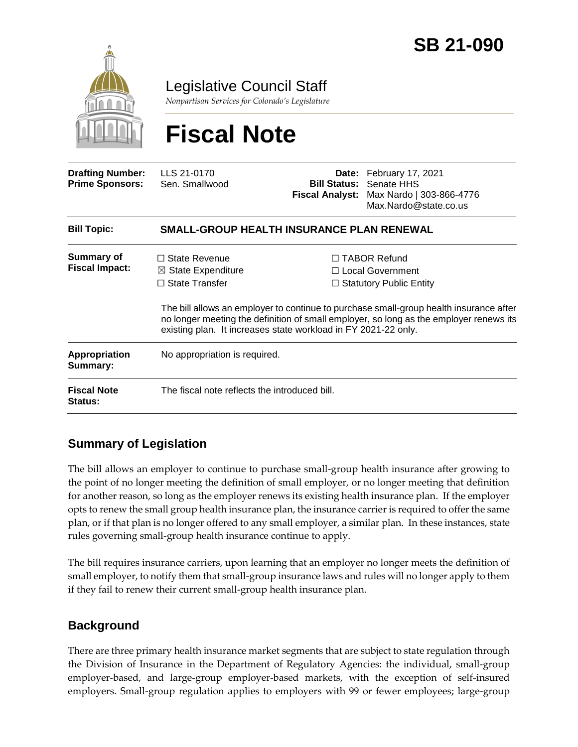

Legislative Council Staff

*Nonpartisan Services for Colorado's Legislature*

# **Fiscal Note**

| <b>Drafting Number:</b><br><b>Prime Sponsors:</b> | LLS 21-0170<br>Sen. Smallwood                                                  | <b>Fiscal Analyst:</b> | Date: February 17, 2021<br><b>Bill Status: Senate HHS</b><br>Max Nardo   303-866-4776<br>Max.Nardo@state.co.us                                                                                                                                                                                                                         |  |
|---------------------------------------------------|--------------------------------------------------------------------------------|------------------------|----------------------------------------------------------------------------------------------------------------------------------------------------------------------------------------------------------------------------------------------------------------------------------------------------------------------------------------|--|
| <b>Bill Topic:</b>                                | <b>SMALL-GROUP HEALTH INSURANCE PLAN RENEWAL</b>                               |                        |                                                                                                                                                                                                                                                                                                                                        |  |
| <b>Summary of</b><br><b>Fiscal Impact:</b>        | $\Box$ State Revenue<br>$\boxtimes$ State Expenditure<br>$\Box$ State Transfer |                        | $\Box$ TABOR Refund<br>$\Box$ Local Government<br>$\Box$ Statutory Public Entity<br>The bill allows an employer to continue to purchase small-group health insurance after<br>no longer meeting the definition of small employer, so long as the employer renews its<br>existing plan. It increases state workload in FY 2021-22 only. |  |
| Appropriation<br>Summary:                         | No appropriation is required.                                                  |                        |                                                                                                                                                                                                                                                                                                                                        |  |
| <b>Fiscal Note</b><br><b>Status:</b>              | The fiscal note reflects the introduced bill.                                  |                        |                                                                                                                                                                                                                                                                                                                                        |  |

# **Summary of Legislation**

The bill allows an employer to continue to purchase small-group health insurance after growing to the point of no longer meeting the definition of small employer, or no longer meeting that definition for another reason, so long as the employer renews its existing health insurance plan. If the employer opts to renew the small group health insurance plan, the insurance carrier is required to offer the same plan, or if that plan is no longer offered to any small employer, a similar plan. In these instances, state rules governing small-group health insurance continue to apply.

The bill requires insurance carriers, upon learning that an employer no longer meets the definition of small employer, to notify them that small-group insurance laws and rules will no longer apply to them if they fail to renew their current small-group health insurance plan.

## **Background**

There are three primary health insurance market segments that are subject to state regulation through the Division of Insurance in the Department of Regulatory Agencies: the individual, small-group employer-based, and large-group employer-based markets, with the exception of self-insured employers. Small-group regulation applies to employers with 99 or fewer employees; large-group